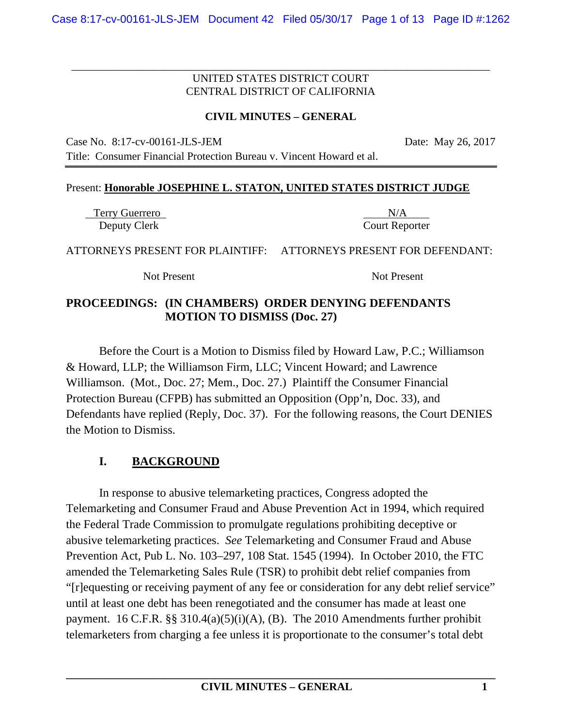\_\_\_\_\_\_\_\_\_\_\_\_\_\_\_\_\_\_\_\_\_\_\_\_\_\_\_\_\_\_\_\_\_\_\_\_\_\_\_\_\_\_\_\_\_\_\_\_\_\_\_\_\_\_\_\_\_\_\_\_\_\_\_\_\_\_\_\_\_\_\_\_\_\_\_\_

## **CIVIL MINUTES – GENERAL**

Case No. 8:17-cv-00161-JLS-JEM Date: May 26, 2017

Title: Consumer Financial Protection Bureau v. Vincent Howard et al.

#### Present: **Honorable JOSEPHINE L. STATON, UNITED STATES DISTRICT JUDGE**

Terry Guerrero N/A Deputy Clerk Court Reporter

ATTORNEYS PRESENT FOR PLAINTIFF: ATTORNEYS PRESENT FOR DEFENDANT:

Not Present Not Present

# **PROCEEDINGS: (IN CHAMBERS) ORDER DENYING DEFENDANTS MOTION TO DISMISS (Doc. 27)**

Before the Court is a Motion to Dismiss filed by Howard Law, P.C.; Williamson & Howard, LLP; the Williamson Firm, LLC; Vincent Howard; and Lawrence Williamson. (Mot., Doc. 27; Mem., Doc. 27.) Plaintiff the Consumer Financial Protection Bureau (CFPB) has submitted an Opposition (Opp'n, Doc. 33), and Defendants have replied (Reply, Doc. 37). For the following reasons, the Court DENIES the Motion to Dismiss.

# **I. BACKGROUND**

In response to abusive telemarketing practices, Congress adopted the Telemarketing and Consumer Fraud and Abuse Prevention Act in 1994, which required the Federal Trade Commission to promulgate regulations prohibiting deceptive or abusive telemarketing practices. *See* Telemarketing and Consumer Fraud and Abuse Prevention Act, Pub L. No. 103–297, 108 Stat. 1545 (1994). In October 2010, the FTC amended the Telemarketing Sales Rule (TSR) to prohibit debt relief companies from "[r]equesting or receiving payment of any fee or consideration for any debt relief service" until at least one debt has been renegotiated and the consumer has made at least one payment. 16 C.F.R.  $\S$ § 310.4(a)(5)(i)(A), (B). The 2010 Amendments further prohibit telemarketers from charging a fee unless it is proportionate to the consumer's total debt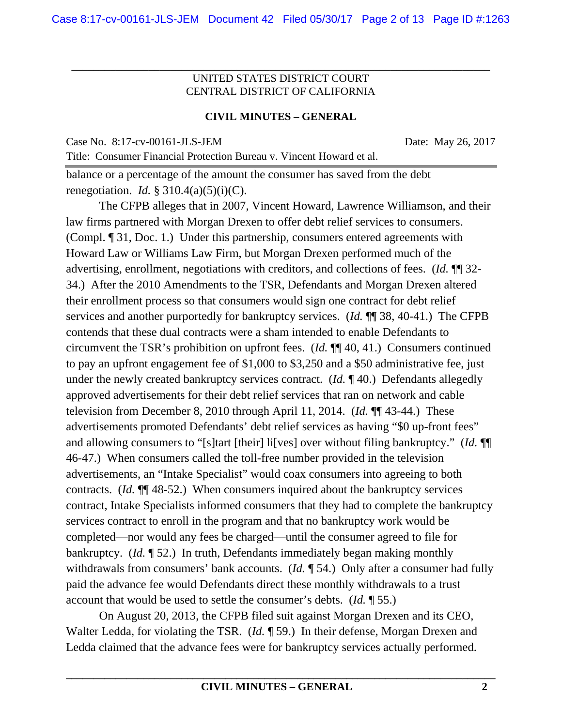\_\_\_\_\_\_\_\_\_\_\_\_\_\_\_\_\_\_\_\_\_\_\_\_\_\_\_\_\_\_\_\_\_\_\_\_\_\_\_\_\_\_\_\_\_\_\_\_\_\_\_\_\_\_\_\_\_\_\_\_\_\_\_\_\_\_\_\_\_\_\_\_\_\_\_\_

#### **CIVIL MINUTES – GENERAL**

Case No. 8:17-cv-00161-JLS-JEM Date: May 26, 2017

balance or a percentage of the amount the consumer has saved from the debt renegotiation. *Id.*  $\S$  310.4(a)(5)(i)(C).

Title: Consumer Financial Protection Bureau v. Vincent Howard et al.

The CFPB alleges that in 2007, Vincent Howard, Lawrence Williamson, and their law firms partnered with Morgan Drexen to offer debt relief services to consumers. (Compl. ¶ 31, Doc. 1.) Under this partnership, consumers entered agreements with Howard Law or Williams Law Firm, but Morgan Drexen performed much of the advertising, enrollment, negotiations with creditors, and collections of fees. (*Id.* ¶¶ 32- 34.) After the 2010 Amendments to the TSR, Defendants and Morgan Drexen altered their enrollment process so that consumers would sign one contract for debt relief services and another purportedly for bankruptcy services. (*Id.* ¶¶ 38, 40-41.) The CFPB contends that these dual contracts were a sham intended to enable Defendants to circumvent the TSR's prohibition on upfront fees. (*Id.* ¶¶ 40, 41.) Consumers continued to pay an upfront engagement fee of \$1,000 to \$3,250 and a \$50 administrative fee, just under the newly created bankruptcy services contract. (*Id.* ¶ 40.) Defendants allegedly approved advertisements for their debt relief services that ran on network and cable television from December 8, 2010 through April 11, 2014. (*Id.* ¶¶ 43-44.) These advertisements promoted Defendants' debt relief services as having "\$0 up-front fees" and allowing consumers to "[s]tart [their] li[ves] over without filing bankruptcy." (*Id.* ¶¶ 46-47.) When consumers called the toll-free number provided in the television advertisements, an "Intake Specialist" would coax consumers into agreeing to both contracts. (*Id.* ¶¶ 48-52.) When consumers inquired about the bankruptcy services contract, Intake Specialists informed consumers that they had to complete the bankruptcy services contract to enroll in the program and that no bankruptcy work would be completed—nor would any fees be charged—until the consumer agreed to file for bankruptcy. (*Id.* ¶ 52.) In truth, Defendants immediately began making monthly withdrawals from consumers' bank accounts. (*Id.* ¶ 54.) Only after a consumer had fully paid the advance fee would Defendants direct these monthly withdrawals to a trust account that would be used to settle the consumer's debts. (*Id.* ¶ 55.)

On August 20, 2013, the CFPB filed suit against Morgan Drexen and its CEO, Walter Ledda, for violating the TSR. (*Id.* ¶ 59.) In their defense, Morgan Drexen and Ledda claimed that the advance fees were for bankruptcy services actually performed.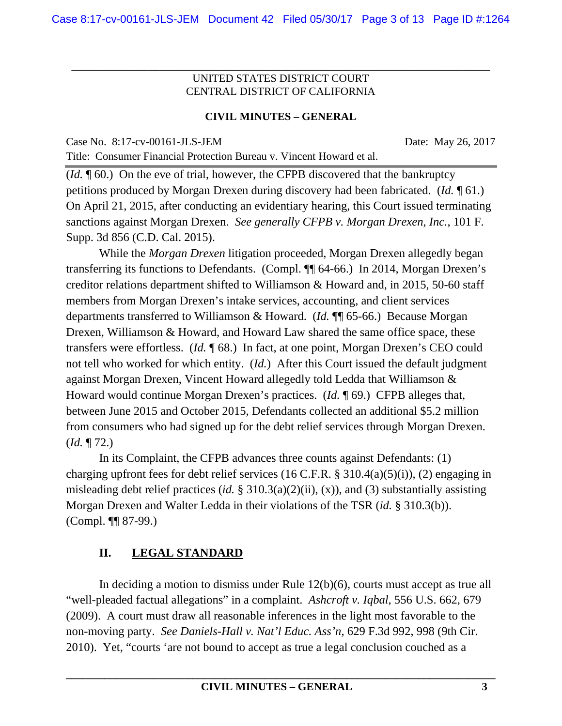\_\_\_\_\_\_\_\_\_\_\_\_\_\_\_\_\_\_\_\_\_\_\_\_\_\_\_\_\_\_\_\_\_\_\_\_\_\_\_\_\_\_\_\_\_\_\_\_\_\_\_\_\_\_\_\_\_\_\_\_\_\_\_\_\_\_\_\_\_\_\_\_\_\_\_\_

# **CIVIL MINUTES – GENERAL**

Case No. 8:17-cv-00161-JLS-JEM Date: May 26, 2017

Title: Consumer Financial Protection Bureau v. Vincent Howard et al.

(*Id.* ¶ 60.) On the eve of trial, however, the CFPB discovered that the bankruptcy petitions produced by Morgan Drexen during discovery had been fabricated. (*Id.* ¶ 61.) On April 21, 2015, after conducting an evidentiary hearing, this Court issued terminating sanctions against Morgan Drexen. *See generally CFPB v. Morgan Drexen, Inc.*, 101 F. Supp. 3d 856 (C.D. Cal. 2015).

While the *Morgan Drexen* litigation proceeded, Morgan Drexen allegedly began transferring its functions to Defendants. (Compl. ¶¶ 64-66.) In 2014, Morgan Drexen's creditor relations department shifted to Williamson & Howard and, in 2015, 50-60 staff members from Morgan Drexen's intake services, accounting, and client services departments transferred to Williamson & Howard. (*Id.* ¶¶ 65-66.) Because Morgan Drexen, Williamson & Howard, and Howard Law shared the same office space, these transfers were effortless. (*Id.* ¶ 68.) In fact, at one point, Morgan Drexen's CEO could not tell who worked for which entity. (*Id.*) After this Court issued the default judgment against Morgan Drexen, Vincent Howard allegedly told Ledda that Williamson & Howard would continue Morgan Drexen's practices. (*Id.* ¶ 69.) CFPB alleges that, between June 2015 and October 2015, Defendants collected an additional \$5.2 million from consumers who had signed up for the debt relief services through Morgan Drexen. (*Id.* ¶ 72.)

In its Complaint, the CFPB advances three counts against Defendants: (1) charging upfront fees for debt relief services (16 C.F.R. § 310.4(a)(5)(i)), (2) engaging in misleading debt relief practices (*id.* § 310.3(a)(2)(ii), (x)), and (3) substantially assisting Morgan Drexen and Walter Ledda in their violations of the TSR (*id.* § 310.3(b)). (Compl. ¶¶ 87-99.)

# **II. LEGAL STANDARD**

In deciding a motion to dismiss under Rule 12(b)(6), courts must accept as true all "well-pleaded factual allegations" in a complaint. *Ashcroft v. Iqbal*, 556 U.S. 662, 679 (2009). A court must draw all reasonable inferences in the light most favorable to the non-moving party. *See Daniels-Hall v. Nat'l Educ. Ass'n*, 629 F.3d 992, 998 (9th Cir. 2010). Yet, "courts 'are not bound to accept as true a legal conclusion couched as a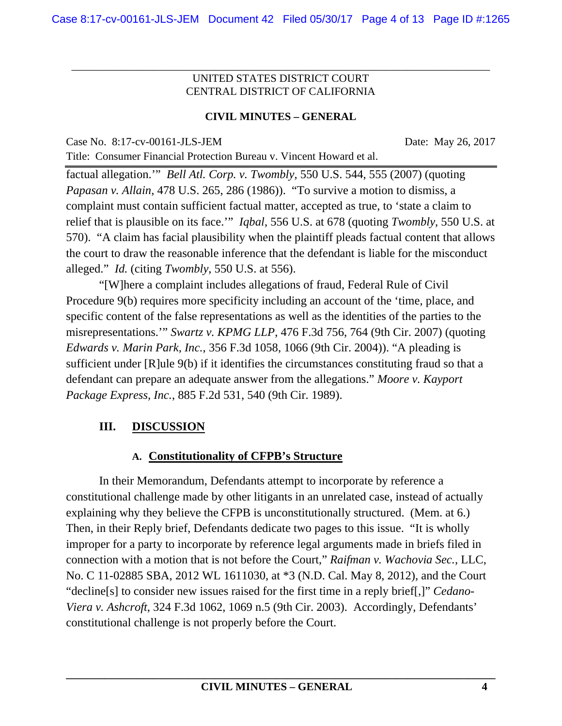\_\_\_\_\_\_\_\_\_\_\_\_\_\_\_\_\_\_\_\_\_\_\_\_\_\_\_\_\_\_\_\_\_\_\_\_\_\_\_\_\_\_\_\_\_\_\_\_\_\_\_\_\_\_\_\_\_\_\_\_\_\_\_\_\_\_\_\_\_\_\_\_\_\_\_\_

# **CIVIL MINUTES – GENERAL**

Case No. 8:17-cv-00161-JLS-JEM Date: May 26, 2017

Title: Consumer Financial Protection Bureau v. Vincent Howard et al.

factual allegation.'" *Bell Atl. Corp. v. Twombly*, 550 U.S. 544, 555 (2007) (quoting *Papasan v. Allain*, 478 U.S. 265, 286 (1986)). "To survive a motion to dismiss, a complaint must contain sufficient factual matter, accepted as true, to 'state a claim to relief that is plausible on its face.'" *Iqbal*, 556 U.S. at 678 (quoting *Twombly*, 550 U.S. at 570). "A claim has facial plausibility when the plaintiff pleads factual content that allows the court to draw the reasonable inference that the defendant is liable for the misconduct alleged." *Id.* (citing *Twombly*, 550 U.S. at 556).

"[W]here a complaint includes allegations of fraud, Federal Rule of Civil Procedure 9(b) requires more specificity including an account of the 'time, place, and specific content of the false representations as well as the identities of the parties to the misrepresentations.'" *Swartz v. KPMG LLP*, 476 F.3d 756, 764 (9th Cir. 2007) (quoting *Edwards v. Marin Park, Inc.*, 356 F.3d 1058, 1066 (9th Cir. 2004)). "A pleading is sufficient under [R]ule 9(b) if it identifies the circumstances constituting fraud so that a defendant can prepare an adequate answer from the allegations." *Moore v. Kayport Package Express, Inc.*, 885 F.2d 531, 540 (9th Cir. 1989).

# **III. DISCUSSION**

# **A. Constitutionality of CFPB's Structure**

In their Memorandum, Defendants attempt to incorporate by reference a constitutional challenge made by other litigants in an unrelated case, instead of actually explaining why they believe the CFPB is unconstitutionally structured. (Mem. at 6.) Then, in their Reply brief, Defendants dedicate two pages to this issue. "It is wholly improper for a party to incorporate by reference legal arguments made in briefs filed in connection with a motion that is not before the Court," *Raifman v. Wachovia Sec.*, LLC, No. C 11-02885 SBA, 2012 WL 1611030, at \*3 (N.D. Cal. May 8, 2012), and the Court "decline[s] to consider new issues raised for the first time in a reply brief[,]" *Cedano-Viera v. Ashcroft*, 324 F.3d 1062, 1069 n.5 (9th Cir. 2003). Accordingly, Defendants' constitutional challenge is not properly before the Court.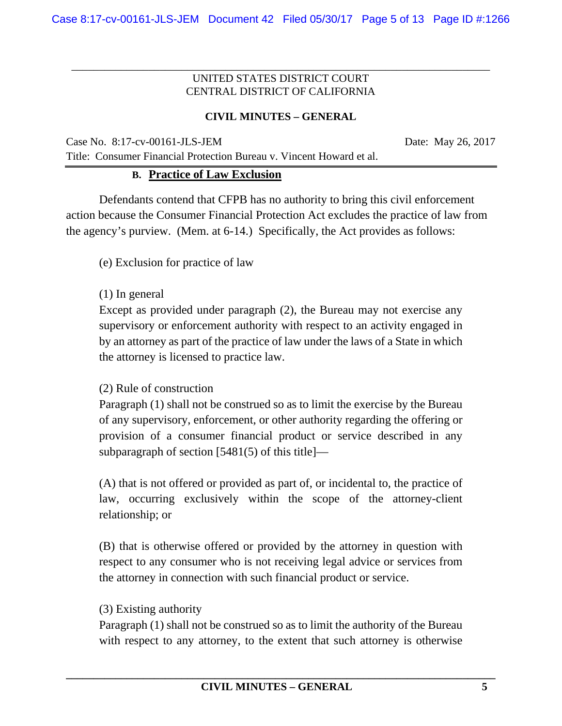\_\_\_\_\_\_\_\_\_\_\_\_\_\_\_\_\_\_\_\_\_\_\_\_\_\_\_\_\_\_\_\_\_\_\_\_\_\_\_\_\_\_\_\_\_\_\_\_\_\_\_\_\_\_\_\_\_\_\_\_\_\_\_\_\_\_\_\_\_\_\_\_\_\_\_\_

## **CIVIL MINUTES – GENERAL**

Case No. 8:17-cv-00161-JLS-JEM Date: May 26, 2017 Title: Consumer Financial Protection Bureau v. Vincent Howard et al.

#### **B. Practice of Law Exclusion**

Defendants contend that CFPB has no authority to bring this civil enforcement action because the Consumer Financial Protection Act excludes the practice of law from the agency's purview. (Mem. at 6-14.) Specifically, the Act provides as follows:

(e) Exclusion for practice of law

#### (1) In general

Except as provided under paragraph (2), the Bureau may not exercise any supervisory or enforcement authority with respect to an activity engaged in by an attorney as part of the practice of law under the laws of a State in which the attorney is licensed to practice law.

#### (2) Rule of construction

Paragraph (1) shall not be construed so as to limit the exercise by the Bureau of any supervisory, enforcement, or other authority regarding the offering or provision of a consumer financial product or service described in any subparagraph of section [5481(5) of this title]—

(A) that is not offered or provided as part of, or incidental to, the practice of law, occurring exclusively within the scope of the attorney-client relationship; or

(B) that is otherwise offered or provided by the attorney in question with respect to any consumer who is not receiving legal advice or services from the attorney in connection with such financial product or service.

#### (3) Existing authority

Paragraph (1) shall not be construed so as to limit the authority of the Bureau with respect to any attorney, to the extent that such attorney is otherwise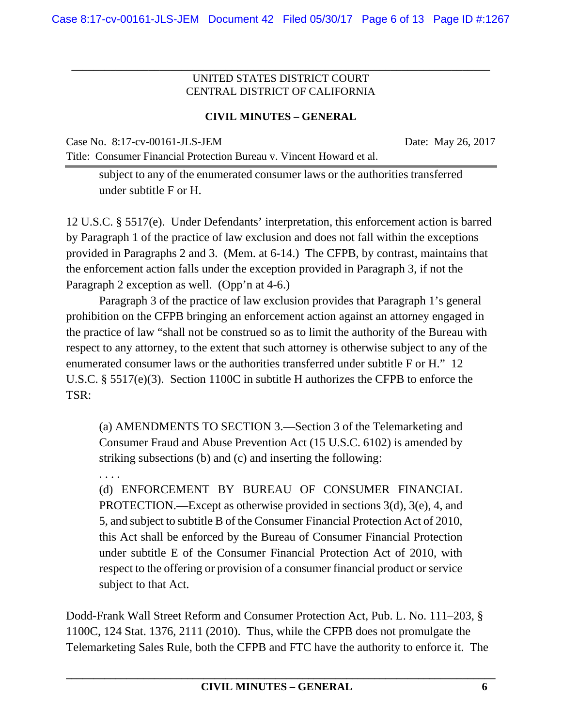\_\_\_\_\_\_\_\_\_\_\_\_\_\_\_\_\_\_\_\_\_\_\_\_\_\_\_\_\_\_\_\_\_\_\_\_\_\_\_\_\_\_\_\_\_\_\_\_\_\_\_\_\_\_\_\_\_\_\_\_\_\_\_\_\_\_\_\_\_\_\_\_\_\_\_\_

# **CIVIL MINUTES – GENERAL**

Case No. 8:17-cv-00161-JLS-JEM Date: May 26, 2017

subject to any of the enumerated consumer laws or the authorities transferred under subtitle F or H.

Title: Consumer Financial Protection Bureau v. Vincent Howard et al.

12 U.S.C. § 5517(e). Under Defendants' interpretation, this enforcement action is barred by Paragraph 1 of the practice of law exclusion and does not fall within the exceptions provided in Paragraphs 2 and 3. (Mem. at 6-14.) The CFPB, by contrast, maintains that the enforcement action falls under the exception provided in Paragraph 3, if not the Paragraph 2 exception as well. (Opp'n at 4-6.)

Paragraph 3 of the practice of law exclusion provides that Paragraph 1's general prohibition on the CFPB bringing an enforcement action against an attorney engaged in the practice of law "shall not be construed so as to limit the authority of the Bureau with respect to any attorney, to the extent that such attorney is otherwise subject to any of the enumerated consumer laws or the authorities transferred under subtitle F or H." 12 U.S.C. § 5517(e)(3). Section 1100C in subtitle H authorizes the CFPB to enforce the TSR:

(a) AMENDMENTS TO SECTION 3.—Section 3 of the Telemarketing and Consumer Fraud and Abuse Prevention Act (15 U.S.C. 6102) is amended by striking subsections (b) and (c) and inserting the following:

. . . .

(d) ENFORCEMENT BY BUREAU OF CONSUMER FINANCIAL PROTECTION.—Except as otherwise provided in sections 3(d), 3(e), 4, and 5, and subject to subtitle B of the Consumer Financial Protection Act of 2010, this Act shall be enforced by the Bureau of Consumer Financial Protection under subtitle E of the Consumer Financial Protection Act of 2010, with respect to the offering or provision of a consumer financial product or service subject to that Act.

Dodd-Frank Wall Street Reform and Consumer Protection Act, Pub. L. No. 111–203, § 1100C, 124 Stat. 1376, 2111 (2010). Thus, while the CFPB does not promulgate the Telemarketing Sales Rule, both the CFPB and FTC have the authority to enforce it. The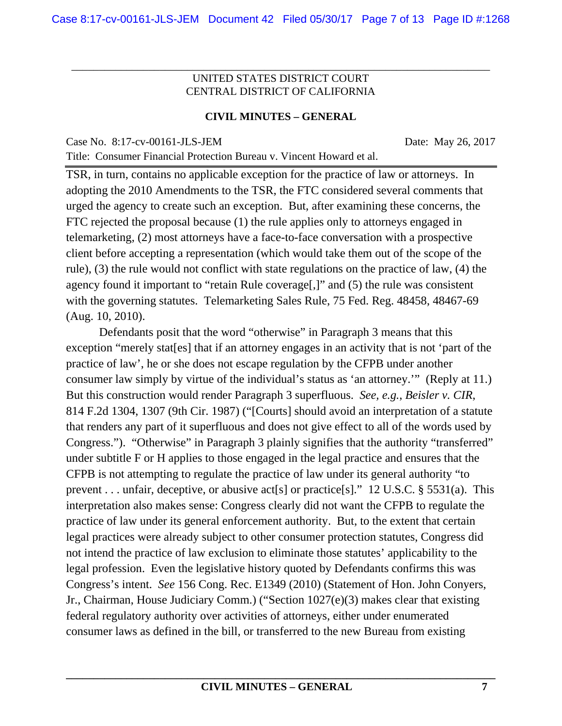\_\_\_\_\_\_\_\_\_\_\_\_\_\_\_\_\_\_\_\_\_\_\_\_\_\_\_\_\_\_\_\_\_\_\_\_\_\_\_\_\_\_\_\_\_\_\_\_\_\_\_\_\_\_\_\_\_\_\_\_\_\_\_\_\_\_\_\_\_\_\_\_\_\_\_\_

#### **CIVIL MINUTES – GENERAL**

Title: Consumer Financial Protection Bureau v. Vincent Howard et al.

Case No. 8:17-cv-00161-JLS-JEM Date: May 26, 2017

TSR, in turn, contains no applicable exception for the practice of law or attorneys. In adopting the 2010 Amendments to the TSR, the FTC considered several comments that urged the agency to create such an exception. But, after examining these concerns, the FTC rejected the proposal because (1) the rule applies only to attorneys engaged in telemarketing, (2) most attorneys have a face-to-face conversation with a prospective client before accepting a representation (which would take them out of the scope of the rule), (3) the rule would not conflict with state regulations on the practice of law, (4) the agency found it important to "retain Rule coverage[,]" and (5) the rule was consistent with the governing statutes. Telemarketing Sales Rule, 75 Fed. Reg. 48458, 48467-69 (Aug. 10, 2010).

 Defendants posit that the word "otherwise" in Paragraph 3 means that this exception "merely stat[es] that if an attorney engages in an activity that is not 'part of the practice of law', he or she does not escape regulation by the CFPB under another consumer law simply by virtue of the individual's status as 'an attorney.'" (Reply at 11.) But this construction would render Paragraph 3 superfluous. *See, e.g.*, *Beisler v. CIR*, 814 F.2d 1304, 1307 (9th Cir. 1987) ("[Courts] should avoid an interpretation of a statute that renders any part of it superfluous and does not give effect to all of the words used by Congress."). "Otherwise" in Paragraph 3 plainly signifies that the authority "transferred" under subtitle F or H applies to those engaged in the legal practice and ensures that the CFPB is not attempting to regulate the practice of law under its general authority "to prevent . . . unfair, deceptive, or abusive act[s] or practice[s]." 12 U.S.C. § 5531(a). This interpretation also makes sense: Congress clearly did not want the CFPB to regulate the practice of law under its general enforcement authority. But, to the extent that certain legal practices were already subject to other consumer protection statutes, Congress did not intend the practice of law exclusion to eliminate those statutes' applicability to the legal profession. Even the legislative history quoted by Defendants confirms this was Congress's intent. *See* 156 Cong. Rec. E1349 (2010) (Statement of Hon. John Conyers, Jr., Chairman, House Judiciary Comm.) ("Section 1027(e)(3) makes clear that existing federal regulatory authority over activities of attorneys, either under enumerated consumer laws as defined in the bill, or transferred to the new Bureau from existing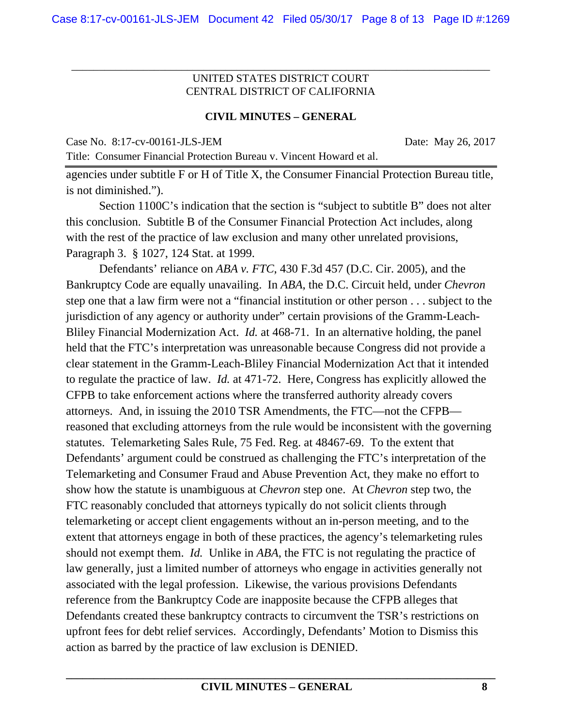\_\_\_\_\_\_\_\_\_\_\_\_\_\_\_\_\_\_\_\_\_\_\_\_\_\_\_\_\_\_\_\_\_\_\_\_\_\_\_\_\_\_\_\_\_\_\_\_\_\_\_\_\_\_\_\_\_\_\_\_\_\_\_\_\_\_\_\_\_\_\_\_\_\_\_\_

#### **CIVIL MINUTES – GENERAL**

Case No. 8:17-cv-00161-JLS-JEM Date: May 26, 2017

Title: Consumer Financial Protection Bureau v. Vincent Howard et al. agencies under subtitle F or H of Title X, the Consumer Financial Protection Bureau title, is not diminished.").

 Section 1100C's indication that the section is "subject to subtitle B" does not alter this conclusion. Subtitle B of the Consumer Financial Protection Act includes, along with the rest of the practice of law exclusion and many other unrelated provisions, Paragraph 3. § 1027, 124 Stat. at 1999.

 Defendants' reliance on *ABA v. FTC*, 430 F.3d 457 (D.C. Cir. 2005), and the Bankruptcy Code are equally unavailing. In *ABA*, the D.C. Circuit held, under *Chevron* step one that a law firm were not a "financial institution or other person . . . subject to the jurisdiction of any agency or authority under" certain provisions of the Gramm-Leach-Bliley Financial Modernization Act. *Id.* at 468-71. In an alternative holding, the panel held that the FTC's interpretation was unreasonable because Congress did not provide a clear statement in the Gramm-Leach-Bliley Financial Modernization Act that it intended to regulate the practice of law. *Id.* at 471-72. Here, Congress has explicitly allowed the CFPB to take enforcement actions where the transferred authority already covers attorneys. And, in issuing the 2010 TSR Amendments, the FTC—not the CFPB reasoned that excluding attorneys from the rule would be inconsistent with the governing statutes. Telemarketing Sales Rule, 75 Fed. Reg. at 48467-69. To the extent that Defendants' argument could be construed as challenging the FTC's interpretation of the Telemarketing and Consumer Fraud and Abuse Prevention Act, they make no effort to show how the statute is unambiguous at *Chevron* step one. At *Chevron* step two, the FTC reasonably concluded that attorneys typically do not solicit clients through telemarketing or accept client engagements without an in-person meeting, and to the extent that attorneys engage in both of these practices, the agency's telemarketing rules should not exempt them. *Id.* Unlike in *ABA*, the FTC is not regulating the practice of law generally, just a limited number of attorneys who engage in activities generally not associated with the legal profession. Likewise, the various provisions Defendants reference from the Bankruptcy Code are inapposite because the CFPB alleges that Defendants created these bankruptcy contracts to circumvent the TSR's restrictions on upfront fees for debt relief services. Accordingly, Defendants' Motion to Dismiss this action as barred by the practice of law exclusion is DENIED.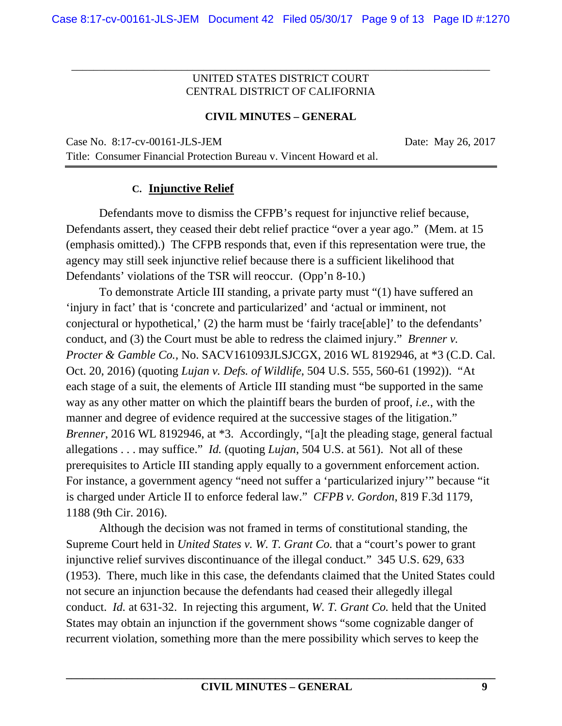\_\_\_\_\_\_\_\_\_\_\_\_\_\_\_\_\_\_\_\_\_\_\_\_\_\_\_\_\_\_\_\_\_\_\_\_\_\_\_\_\_\_\_\_\_\_\_\_\_\_\_\_\_\_\_\_\_\_\_\_\_\_\_\_\_\_\_\_\_\_\_\_\_\_\_\_

## **CIVIL MINUTES – GENERAL**

Case No. 8:17-cv-00161-JLS-JEM Date: May 26, 2017 Title: Consumer Financial Protection Bureau v. Vincent Howard et al.

# **C. Injunctive Relief**

Defendants move to dismiss the CFPB's request for injunctive relief because, Defendants assert, they ceased their debt relief practice "over a year ago." (Mem. at 15 (emphasis omitted).) The CFPB responds that, even if this representation were true, the agency may still seek injunctive relief because there is a sufficient likelihood that Defendants' violations of the TSR will reoccur. (Opp'n 8-10.)

To demonstrate Article III standing, a private party must "(1) have suffered an 'injury in fact' that is 'concrete and particularized' and 'actual or imminent, not conjectural or hypothetical,' (2) the harm must be 'fairly trace[able]' to the defendants' conduct, and (3) the Court must be able to redress the claimed injury." *Brenner v. Procter & Gamble Co.,* No. SACV161093JLSJCGX, 2016 WL 8192946, at \*3 (C.D. Cal. Oct. 20, 2016) (quoting *Lujan v. Defs. of Wildlife*, 504 U.S. 555, 560-61 (1992)). "At each stage of a suit, the elements of Article III standing must "be supported in the same way as any other matter on which the plaintiff bears the burden of proof, *i.e.*, with the manner and degree of evidence required at the successive stages of the litigation." *Brenner*, 2016 WL 8192946, at \*3. Accordingly, "[a]t the pleading stage, general factual allegations . . . may suffice." *Id.* (quoting *Lujan*, 504 U.S. at 561). Not all of these prerequisites to Article III standing apply equally to a government enforcement action. For instance, a government agency "need not suffer a 'particularized injury'" because "it is charged under Article II to enforce federal law." *CFPB v. Gordon*, 819 F.3d 1179, 1188 (9th Cir. 2016).

Although the decision was not framed in terms of constitutional standing, the Supreme Court held in *United States v. W. T. Grant Co.* that a "court's power to grant injunctive relief survives discontinuance of the illegal conduct." 345 U.S. 629, 633 (1953). There, much like in this case, the defendants claimed that the United States could not secure an injunction because the defendants had ceased their allegedly illegal conduct. *Id.* at 631-32. In rejecting this argument, *W. T. Grant Co.* held that the United States may obtain an injunction if the government shows "some cognizable danger of recurrent violation, something more than the mere possibility which serves to keep the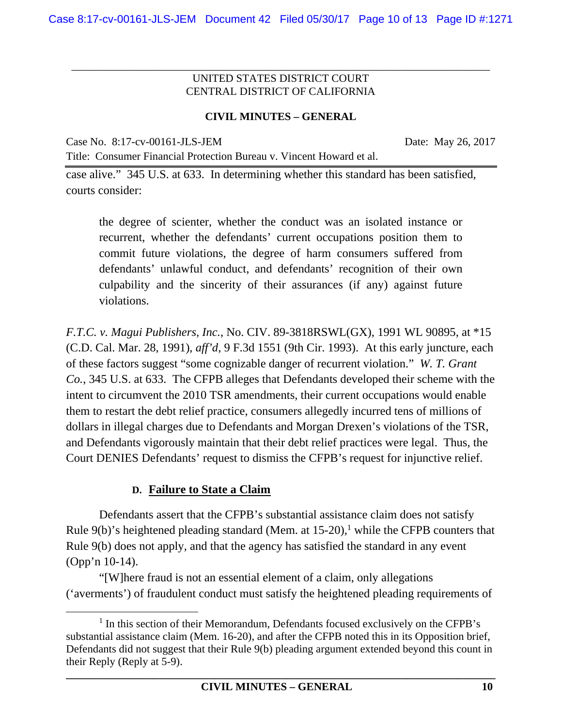\_\_\_\_\_\_\_\_\_\_\_\_\_\_\_\_\_\_\_\_\_\_\_\_\_\_\_\_\_\_\_\_\_\_\_\_\_\_\_\_\_\_\_\_\_\_\_\_\_\_\_\_\_\_\_\_\_\_\_\_\_\_\_\_\_\_\_\_\_\_\_\_\_\_\_\_

## **CIVIL MINUTES – GENERAL**

Case No. 8:17-cv-00161-JLS-JEM Date: May 26, 2017

case alive." 345 U.S. at 633. In determining whether this standard has been satisfied, courts consider:

Title: Consumer Financial Protection Bureau v. Vincent Howard et al.

the degree of scienter, whether the conduct was an isolated instance or recurrent, whether the defendants' current occupations position them to commit future violations, the degree of harm consumers suffered from defendants' unlawful conduct, and defendants' recognition of their own culpability and the sincerity of their assurances (if any) against future violations.

*F.T.C. v. Magui Publishers, Inc.*, No. CIV. 89-3818RSWL(GX), 1991 WL 90895, at \*15 (C.D. Cal. Mar. 28, 1991), *aff'd*, 9 F.3d 1551 (9th Cir. 1993). At this early juncture, each of these factors suggest "some cognizable danger of recurrent violation." *W. T. Grant Co.*, 345 U.S. at 633. The CFPB alleges that Defendants developed their scheme with the intent to circumvent the 2010 TSR amendments, their current occupations would enable them to restart the debt relief practice, consumers allegedly incurred tens of millions of dollars in illegal charges due to Defendants and Morgan Drexen's violations of the TSR, and Defendants vigorously maintain that their debt relief practices were legal. Thus, the Court DENIES Defendants' request to dismiss the CFPB's request for injunctive relief.

## **D. Failure to State a Claim**

Defendants assert that the CFPB's substantial assistance claim does not satisfy Rule  $9(b)$ 's heightened pleading standard (Mem. at  $15{\text -}20$ ),<sup>1</sup> while the CFPB counters that Rule 9(b) does not apply, and that the agency has satisfied the standard in any event (Opp'n 10-14).

"[W]here fraud is not an essential element of a claim, only allegations ('averments') of fraudulent conduct must satisfy the heightened pleading requirements of

 $\overline{1}$  $<sup>1</sup>$  In this section of their Memorandum, Defendants focused exclusively on the CFPB's</sup> substantial assistance claim (Mem. 16-20), and after the CFPB noted this in its Opposition brief, Defendants did not suggest that their Rule 9(b) pleading argument extended beyond this count in their Reply (Reply at 5-9).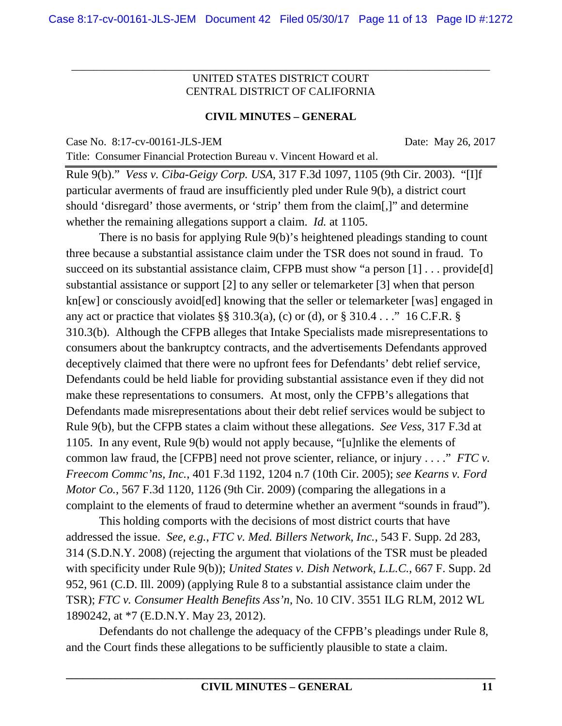\_\_\_\_\_\_\_\_\_\_\_\_\_\_\_\_\_\_\_\_\_\_\_\_\_\_\_\_\_\_\_\_\_\_\_\_\_\_\_\_\_\_\_\_\_\_\_\_\_\_\_\_\_\_\_\_\_\_\_\_\_\_\_\_\_\_\_\_\_\_\_\_\_\_\_\_

#### **CIVIL MINUTES – GENERAL**

Case No. 8:17-cv-00161-JLS-JEM Date: May 26, 2017

Title: Consumer Financial Protection Bureau v. Vincent Howard et al.

Rule 9(b)." *Vess v. Ciba-Geigy Corp. USA*, 317 F.3d 1097, 1105 (9th Cir. 2003). "[I]f particular averments of fraud are insufficiently pled under Rule 9(b), a district court should 'disregard' those averments, or 'strip' them from the claim[,]" and determine whether the remaining allegations support a claim. *Id.* at 1105.

There is no basis for applying Rule 9(b)'s heightened pleadings standing to count three because a substantial assistance claim under the TSR does not sound in fraud. To succeed on its substantial assistance claim, CFPB must show "a person [1] ... provide [d] substantial assistance or support [2] to any seller or telemarketer [3] when that person kn[ew] or consciously avoid[ed] knowing that the seller or telemarketer [was] engaged in any act or practice that violates §§ 310.3(a), (c) or (d), or § 310.4 . . . " 16 C.F.R. § 310.3(b). Although the CFPB alleges that Intake Specialists made misrepresentations to consumers about the bankruptcy contracts, and the advertisements Defendants approved deceptively claimed that there were no upfront fees for Defendants' debt relief service, Defendants could be held liable for providing substantial assistance even if they did not make these representations to consumers. At most, only the CFPB's allegations that Defendants made misrepresentations about their debt relief services would be subject to Rule 9(b), but the CFPB states a claim without these allegations. *See Vess*, 317 F.3d at 1105. In any event, Rule 9(b) would not apply because, "[u]nlike the elements of common law fraud, the [CFPB] need not prove scienter, reliance, or injury . . . ." *FTC v. Freecom Commc'ns, Inc.*, 401 F.3d 1192, 1204 n.7 (10th Cir. 2005); *see Kearns v. Ford Motor Co.*, 567 F.3d 1120, 1126 (9th Cir. 2009) (comparing the allegations in a complaint to the elements of fraud to determine whether an averment "sounds in fraud").

This holding comports with the decisions of most district courts that have addressed the issue. *See, e.g.*, *FTC v. Med. Billers Network, Inc.*, 543 F. Supp. 2d 283, 314 (S.D.N.Y. 2008) (rejecting the argument that violations of the TSR must be pleaded with specificity under Rule 9(b)); *United States v. Dish Network, L.L.C.*, 667 F. Supp. 2d 952, 961 (C.D. Ill. 2009) (applying Rule 8 to a substantial assistance claim under the TSR); *FTC v. Consumer Health Benefits Ass'n*, No. 10 CIV. 3551 ILG RLM, 2012 WL 1890242, at \*7 (E.D.N.Y. May 23, 2012).

Defendants do not challenge the adequacy of the CFPB's pleadings under Rule 8, and the Court finds these allegations to be sufficiently plausible to state a claim.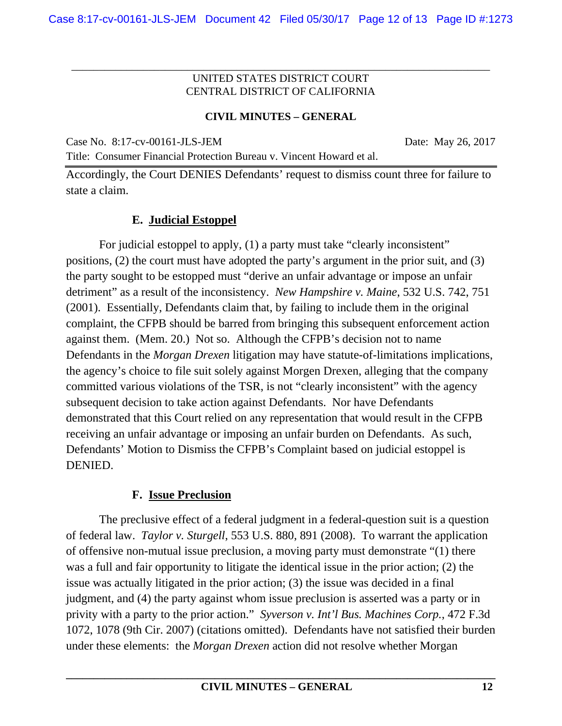\_\_\_\_\_\_\_\_\_\_\_\_\_\_\_\_\_\_\_\_\_\_\_\_\_\_\_\_\_\_\_\_\_\_\_\_\_\_\_\_\_\_\_\_\_\_\_\_\_\_\_\_\_\_\_\_\_\_\_\_\_\_\_\_\_\_\_\_\_\_\_\_\_\_\_\_

## **CIVIL MINUTES – GENERAL**

Case No. 8:17-cv-00161-JLS-JEM Date: May 26, 2017

Title: Consumer Financial Protection Bureau v. Vincent Howard et al.

Accordingly, the Court DENIES Defendants' request to dismiss count three for failure to state a claim.

# **E. Judicial Estoppel**

For judicial estoppel to apply, (1) a party must take "clearly inconsistent" positions, (2) the court must have adopted the party's argument in the prior suit, and (3) the party sought to be estopped must "derive an unfair advantage or impose an unfair detriment" as a result of the inconsistency. *New Hampshire v. Maine*, 532 U.S. 742, 751 (2001). Essentially, Defendants claim that, by failing to include them in the original complaint, the CFPB should be barred from bringing this subsequent enforcement action against them. (Mem. 20.) Not so. Although the CFPB's decision not to name Defendants in the *Morgan Drexen* litigation may have statute-of-limitations implications, the agency's choice to file suit solely against Morgen Drexen, alleging that the company committed various violations of the TSR, is not "clearly inconsistent" with the agency subsequent decision to take action against Defendants. Nor have Defendants demonstrated that this Court relied on any representation that would result in the CFPB receiving an unfair advantage or imposing an unfair burden on Defendants. As such, Defendants' Motion to Dismiss the CFPB's Complaint based on judicial estoppel is DENIED.

## **F. Issue Preclusion**

The preclusive effect of a federal judgment in a federal-question suit is a question of federal law. *Taylor v. Sturgell*, 553 U.S. 880, 891 (2008). To warrant the application of offensive non-mutual issue preclusion, a moving party must demonstrate "(1) there was a full and fair opportunity to litigate the identical issue in the prior action; (2) the issue was actually litigated in the prior action; (3) the issue was decided in a final judgment, and (4) the party against whom issue preclusion is asserted was a party or in privity with a party to the prior action." *Syverson v. Int'l Bus. Machines Corp.*, 472 F.3d 1072, 1078 (9th Cir. 2007) (citations omitted). Defendants have not satisfied their burden under these elements: the *Morgan Drexen* action did not resolve whether Morgan